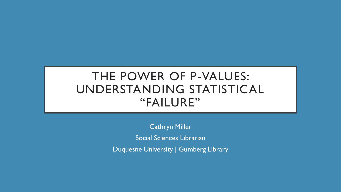# THE POWER OF P-VALUES: UNDERSTANDING STATISTICAL "FAILURE"

Cathryn Miller Social Sciences Librarian Duquesne University | Gumberg Library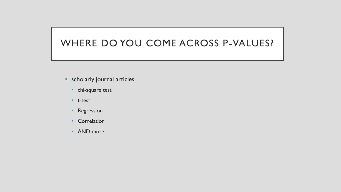#### WHERE DO YOU COME ACROSS P-VALUES?

- scholarly journal articles
	- chi-square test
	- t-test
	- Regression
	- Correlation
	- AND more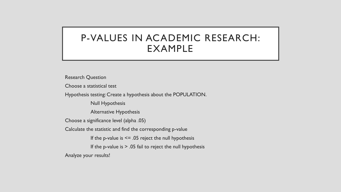## P-VALUES IN ACADEMIC RESEARCH: EXAMPLE

Research Question

Choose a statistical test

Hypothesis testing: Create a hypothesis about the POPULATION.

Null Hypothesis

Alternative Hypothesis

Choose a significance level (alpha .05)

Calculate the statistic and find the corresponding p-value

If the p-value is  $\leq$  .05 reject the null hypothesis

If the p-value is  $> 0.05$  fail to reject the null hypothesis

Analyze your results!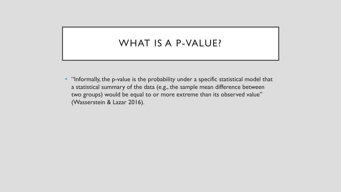#### WHAT IS A P-VALUE?

• "Informally, the p-value is the probability under a specific statistical model that a statistical summary of the data (e.g., the sample mean difference between two groups) would be equal to or more extreme than its observed value" (Wasserstein & Lazar 2016).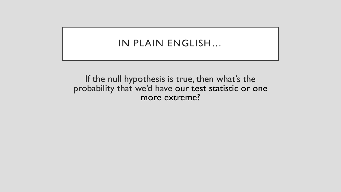#### IN PLAIN ENGLISH…

If the null hypothesis is true, then what's the probability that we'd have our test statistic or one more extreme?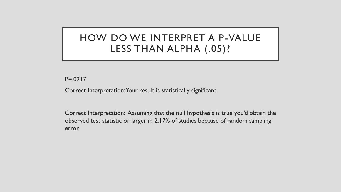# HOW DO WE INTERPRET A P-VALUE LESS THAN ALPHA (.05)?

P=.0217

Correct Interpretation: Your result is statistically significant.

Correct Interpretation: Assuming that the null hypothesis is true you'd obtain the observed test statistic or larger in 2.17% of studies because of random sampling error.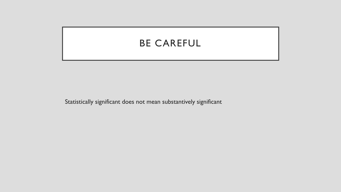## BE CAREFUL

Statistically significant does not mean substantively significant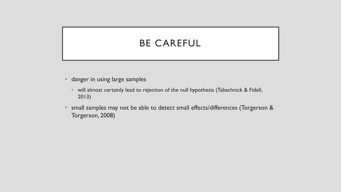# BE CAREFUL

- danger in using large samples
	- will almost certainly lead to rejection of the null hypothesis (Tabachnick & Fidell, 2013)
- small samples may not be able to detect small effects/differences (Torgerson & Torgerson, 2008)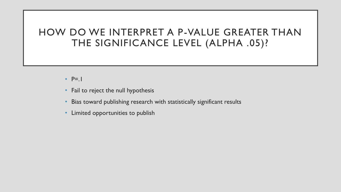#### HOW DO WE INTERPRET A P-VALUE GREATER THAN THE SIGNIFICANCE LEVEL (ALPHA .05)?

- $\cdot$  P=.1
- Fail to reject the null hypothesis
- Bias toward publishing research with statistically significant results
- Limited opportunities to publish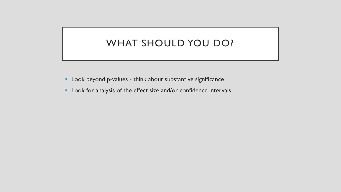## WHAT SHOULD YOU DO?

- Look beyond p-values think about substantive significance
- Look for analysis of the effect size and/or confidence intervals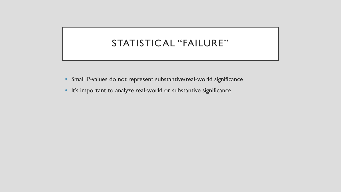## STATISTICAL "FAILURE"

- Small P-values do not represent substantive/real-world significance
- It's important to analyze real-world or substantive significance